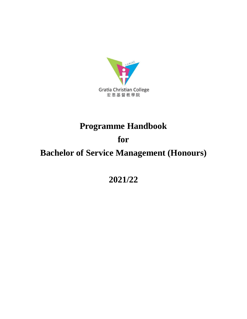

# **Programme Handbook**

# **for**

# **Bachelor of Service Management (Honours)**

**2021/22**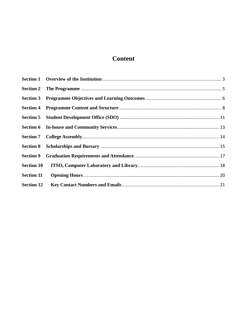# Content

| <b>Section 8</b>  |  |
|-------------------|--|
| <b>Section 9</b>  |  |
| <b>Section 10</b> |  |
| <b>Section 11</b> |  |
| <b>Section 12</b> |  |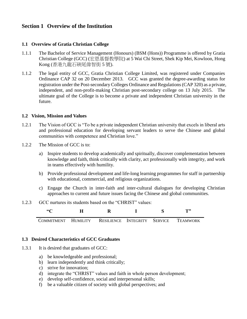## <span id="page-2-0"></span>**Section 1 Overview of the Institution**

#### **1.1 Overview of Gratia Christian College**

- 1.1.1 The Bachelor of Service Management (Honours) (BSM (Hons)) Programme is offered by Gratia Christian College (GCC) (宏恩基督教學院) at 5 Wai Chi Street, Shek Kip Mei, Kowloon, Hong Kong (香港九龍石硤尾偉智街 5 號).
- 1.1.2 The legal entity of GCC, Gratia Christian College Limited, was registered under Companies Ordinance CAP 32 on 20 December 2013. GCC was granted the degree-awarding status for registration under the Post-secondary Colleges Ordinance and Regulations (CAP 320) as a private, independent, and non-profit-making Christian post-secondary college on 13 July 2015. The ultimate goal of the College is to become a private and independent Christian university in the future.

#### **1.2 Vision, Mission and Values**

- 1.2.1 The Vision of GCC is "To be a private independent Christian university that excels in liberal arts and professional education for developing servant leaders to serve the Chinese and global communities with competence and Christian love."
- 1.2.2 The Mission of GCC is to:
	- a) Inspire students to develop academically and spiritually, discover complementation between knowledge and faith, think critically with clarity, act professionally with integrity, and work in teams effectively with humility.
	- b) Provide professional development and life-long learning programmes for staff in partnership with educational, commercial, and religious organizations.
	- c) Engage the Church in inter-faith and inter-cultural dialogues for developing Christian approaches to current and future issues facing the Chinese and global communities.
- 1.2.3 GCC nurtures its students based on the "CHRIST" values:

| $\epsilon$                                                |  |  | TI) |
|-----------------------------------------------------------|--|--|-----|
| COMMITMENT HUMILITY RESILIENCE INTEGRITY SERVICE TEAMWORK |  |  |     |

#### **1.3 Desired Characteristics of GCC Graduates**

- 1.3.1 It is desired that graduates of GCC:
	- a) be knowledgeable and professional;
	- b) learn independently and think critically;
	- c) strive for innovation;
	- d) integrate the "CHRIST" values and faith in whole person development;
	- e) develop self-confidence, social and interpersonal skills;
	- f) be a valuable citizen of society with global perspectives; and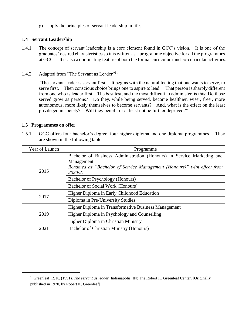g) apply the principles of servant leadership in life.

#### **1.4 Servant Leadership**

1.4.1 The concept of servant leadership is a core element found in GCC's vision. It is one of the graduates' desired characteristics so it is written as a programme objective for all the programmes at GCC. It is also a dominating feature of both the formal curriculum and co-curricular activities.

#### 1.4.2 Adapted from "The Servant as Leader"<sup>1</sup>:

"The servant-leader is servant first… It begins with the natural feeling that one wants to serve, to serve first. Then conscious choice brings one to aspire to lead. That person is sharply different from one who is leader first…The best test, and the most difficult to administer, is this: Do those served grow as persons? Do they, while being served, become healthier, wiser, freer, more autonomous, more likely themselves to become servants? And, what is the effect on the least privileged in society? Will they benefit or at least not be further deprived?"

#### **1.5 Programmes on offer**

**.** 

1.5.1 GCC offers four bachelor's degree, four higher diploma and one diploma programmes. They are shown in the following table:

| Year of Launch | Programme                                                                                                                                                                 |
|----------------|---------------------------------------------------------------------------------------------------------------------------------------------------------------------------|
| 2015           | Bachelor of Business Administration (Honours) in Service Marketing and<br>Management<br>Renamed as "Bachelor of Service Management (Honours)" with effect from<br>2020/21 |
|                | Bachelor of Psychology (Honours)                                                                                                                                          |
|                | Bachelor of Social Work (Honours)                                                                                                                                         |
| 2017           | Higher Diploma in Early Childhood Education                                                                                                                               |
|                | Diploma in Pre-University Studies                                                                                                                                         |
|                | Higher Diploma in Transformative Business Management                                                                                                                      |
| 2019           | Higher Diploma in Psychology and Counselling                                                                                                                              |
|                | Higher Diploma in Christian Ministry                                                                                                                                      |
| 2021           | Bachelor of Christian Ministry (Honours)                                                                                                                                  |

<sup>&</sup>lt;sup>1</sup> Greenleaf, R. K. (1991). *The servant as leader*. Indianapolis, IN: The Robert K. Greenleaf Center. [Originally published in 1970, by Robert K. Greenleaf]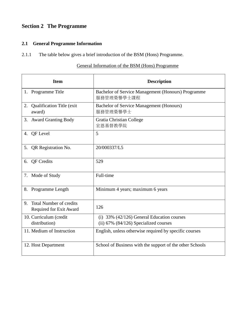## <span id="page-4-0"></span>**Section 2 The Programme**

## **2.1 General Programme Information**

2.1.1 The table below gives a brief introduction of the BSM (Hons) Programme.

### General Information of the BSM (Hons) Programme

| <b>Item</b>                                           | <b>Description</b>                                                                        |
|-------------------------------------------------------|-------------------------------------------------------------------------------------------|
| 1. Programme Title                                    | Bachelor of Service Management (Honours) Programme<br>服務管理榮譽學士課程                          |
| <b>Qualification Title (exit)</b><br>2.<br>award)     | <b>Bachelor of Service Management (Honours)</b><br>服務管理榮譽學士                               |
| 3. Award Granting Body                                | Gratia Christian College<br>宏恩基督教學院                                                       |
| 4. QF Level                                           | 5                                                                                         |
| 5. QR Registration No.                                | 20/000337/L5                                                                              |
| <b>OF Credits</b><br>6.                               | 529                                                                                       |
| 7. Mode of Study                                      | Full-time                                                                                 |
| 8. Programme Length                                   | Minimum 4 years; maximum 6 years                                                          |
| 9. Total Number of credits<br>Required for Exit Award | 126                                                                                       |
| 10. Curriculum (credit<br>distribution)               | (i) $33\%$ (42/126) General Education courses<br>(ii) $67\%$ (84/126) Specialized courses |
| 11. Medium of Instruction                             | English, unless otherwise required by specific courses                                    |
| 12. Host Department                                   | School of Business with the support of the other Schools                                  |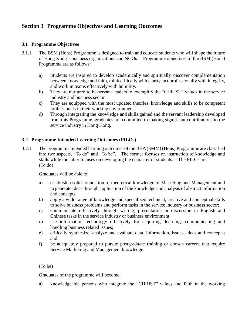## <span id="page-5-0"></span>**Section 3 Programme Objectives and Learning Outcomes**

#### **3.1 Programme Objectives**

- 3.1.1 The BSM (Hons) Programme is designed to train and educate students who will shape the future of Hong Kong's business organizations and NGOs. Programme objectives of the BSM (Hons) Programme are as follows:
	- a) Students are inspired to develop academically and spiritually, discover complementation between knowledge and faith, think critically with clarity, act professionally with integrity, and work in teams effectively with humility.
	- b) They are nurtured to be servant leaders to exemplify the "CHRIST" values in the service industry and business sector.
	- c) They are equipped with the most updated theories, knowledge and skills to be competent professionals in their working environment.
	- d) Through integrating the knowledge and skills gained and the servant leadership developed from this Programme, graduates are committed to making significant contributions to the service industry in Hong Kong.

#### **3.2 Programme Intended Learning Outcomes (PILOs)**

3.2.1 The programme intended learning outcomes of the BBA (SMM) (Hons) Programme are classified into two aspects, "To do" and "To be". The former focuses on instruction of knowledge and skills while the latter focuses on developing the character of students. The PILOs are: (To do)

Graduates will be able to:

- a) establish a solid foundation of theoretical knowledge of Marketing and Management and to generate ideas through application of the knowledge and analysis of abstract information and concepts;
- b) apply a wide range of knowledge and specialized technical, creative and conceptual skills to solve business problems and perform tasks in the service industry or business sector;
- c) communicate effectively through writing, presentation or discussion in English and Chinese tasks in the service industry or business environment;
- d) use information technology effectively for acquiring, learning, communicating and handling business related issues;
- e) critically synthesize, analyze and evaluate data, information, issues, ideas and concepts; and
- f) be adequately prepared to pursue postgraduate training or chosen careers that require Service Marketing and Management knowledge.

#### (To be)

Graduates of the programme will become:

a) knowledgeable persons who integrate the "CHRIST" values and faith in the working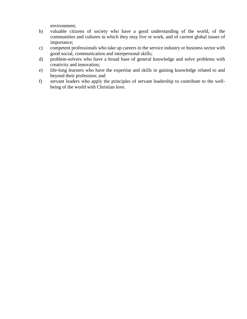environment;

- b) valuable citizens of society who have a good understanding of the world, of the communities and cultures in which they may live or work, and of current global issues of importance;
- c) competent professionals who take up careers in the service industry or business sector with good social, communication and interpersonal skills;
- d) problem-solvers who have a broad base of general knowledge and solve problems with creativity and innovation;
- e) life-long learners who have the expertise and skills in gaining knowledge related to and beyond their profession; and
- f) servant leaders who apply the principles of servant leadership to contribute to the wellbeing of the world with Christian love.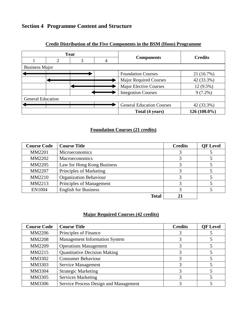## <span id="page-7-0"></span>**Section 4 Programme Content and Structure**



#### **Credit Distribution of the Five Components in the BSM (Hons) Programme**

#### **Foundation Courses (21 credits)**

| <b>Course Code</b> | <b>Course Title</b>           | <b>Credits</b> | <b>QF</b> Level |
|--------------------|-------------------------------|----------------|-----------------|
| MM2201             | Microeconomics                |                |                 |
| MM2202             | Macroeconomics                |                |                 |
| MM2205             | Law for Hong Kong Business    |                |                 |
| MM2207             | Principles of Marketing       |                |                 |
| MM2210             | <b>Organization Behaviour</b> |                |                 |
| MM2213             | Principles of Management      |                |                 |
| <b>EN1004</b>      | <b>English for Business</b>   |                |                 |
|                    | <b>Total</b>                  |                |                 |

#### **Major Required Courses (42 credits)**

| <b>Course Code</b> | <b>Course Title</b>                   | <b>Credits</b> | <b>QF</b> Level |
|--------------------|---------------------------------------|----------------|-----------------|
| MM2206             | Principles of Finance                 |                |                 |
| <b>MM2208</b>      | <b>Management Information System</b>  |                |                 |
| MM2209             | <b>Operations Management</b>          | 3              |                 |
| MM2215             | <b>Quantitative Decision Making</b>   |                |                 |
| MM3302             | <b>Consumer Behaviour</b>             |                |                 |
| MM3303             | Service Management                    | 3              |                 |
| MM3304             | <b>Strategic Marketing</b>            | 3              |                 |
| MM3305             | <b>Services Marketing</b>             |                |                 |
| MM3306             | Service Process Design and Management | 3              |                 |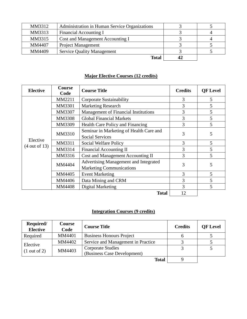| MM3312 | Administration in Human Service Organizations |    |  |
|--------|-----------------------------------------------|----|--|
| MM3313 | Financial Accounting I                        |    |  |
| MM3315 | Cost and Management Accounting I              |    |  |
| MM4407 | <b>Project Management</b>                     |    |  |
| MM4409 | <b>Service Quality Management</b>             |    |  |
|        | <b>Total</b>                                  | 42 |  |

## **Major Elective Courses (12 credits)**

| <b>Elective</b>          | <b>Course</b><br>Code | <b>Course Title</b>                         | <b>Credits</b> | <b>QF</b> Level |
|--------------------------|-----------------------|---------------------------------------------|----------------|-----------------|
|                          | MM2211                | <b>Corporate Sustainability</b>             | 3              | 5               |
|                          | MM3301                | <b>Marketing Research</b>                   | 3              | 5               |
|                          | MM3307                | <b>Management of Financial Institutions</b> | 3              | 5               |
|                          | MM3308                | <b>Global Financial Markets</b>             | 3              | 5               |
|                          | MM3309                | Health Care Policy and Financing            | 3              | 5               |
|                          | MM3310                | Seminar in Marketing of Health Care and     | 3              | 5               |
| Elective                 |                       | <b>Social Services</b>                      |                |                 |
| $(4 \text{ out of } 13)$ | MM3311                | Social Welfare Policy                       | 3              | 5               |
|                          | MM3314                | <b>Financial Accounting II</b>              | 3              | 5               |
|                          | MM3316                | Cost and Management Accounting II           | 3              | 5               |
|                          | MM4404                | Advertising Management and Integrated       | 3              | 5               |
|                          |                       | <b>Marketing Communications</b>             |                |                 |
|                          | MM4405                | <b>Event Marketing</b>                      | 3              | 5               |
|                          | MM4406                | Data Mining and CRM                         | 3              | 5               |
|                          | <b>MM4408</b>         | Digital Marketing                           | 3              | 5               |
|                          |                       | <b>Total</b>                                | 12             |                 |

## **Integration Courses (9 credits)**

| Required/<br><b>Elective</b> | Course<br>Code | <b>Course Title</b>                                     | <b>Credits</b> | <b>QF</b> Level |
|------------------------------|----------------|---------------------------------------------------------|----------------|-----------------|
| Required                     | MM4401         | <b>Business Honours Project</b>                         |                |                 |
| Elective                     | MM4402         | Service and Management in Practice                      |                |                 |
| $(1 \text{ out of } 2)$      | MM4403         | <b>Corporate Studies</b><br>(Business Case Development) |                |                 |
|                              |                | <b>Total</b>                                            |                |                 |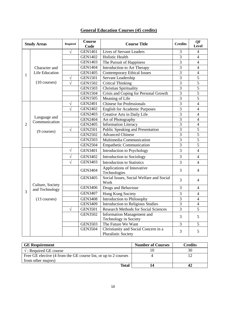## **General Education Courses (45 credits)**

| <b>Study Areas</b> |                               | Required   | Course<br>Code | <b>Course Title</b>                                                | <b>Credits</b> | QF<br><b>Level</b> |
|--------------------|-------------------------------|------------|----------------|--------------------------------------------------------------------|----------------|--------------------|
|                    |                               | $\sqrt{}$  | <b>GEN1401</b> | <b>Lives of Servant Leaders</b>                                    | 3              | $\overline{4}$     |
|                    |                               |            | <b>GEN1402</b> | <b>Holistic Health</b>                                             | 3              | $\overline{4}$     |
|                    |                               |            | <b>GEN1403</b> | The Pursuit of Happiness                                           | 3              | $\overline{4}$     |
|                    | Character and                 |            | <b>GEN1404</b> | Introduction to Art Therapy                                        | 3              | $\overline{4}$     |
|                    | Life Education                |            | <b>GEN1405</b> | <b>Contemporary Ethical Issues</b>                                 | $\overline{3}$ | $\overline{4}$     |
| 1                  |                               | V          | <b>GEN1501</b> | Servant Leadership                                                 | 3              | 5                  |
|                    | $(10 \text{ courses})$        | $\sqrt{}$  | <b>GEN1502</b> | <b>Critical Thinking</b>                                           | 3              | $\overline{5}$     |
|                    |                               |            | <b>GEN1503</b> | <b>Christian Spirituality</b>                                      | 3              | 5                  |
|                    |                               |            | <b>GEN1504</b> | Crisis and Coping for Personal Growth                              | $\overline{3}$ | $\overline{5}$     |
|                    |                               |            | <b>GEN1505</b> | Meaning of Life                                                    | $\overline{3}$ | $\overline{5}$     |
|                    |                               | $\sqrt{2}$ | <b>GEN2401</b> | <b>Chinese for Professionals</b>                                   | 3              | $\overline{4}$     |
|                    |                               | V          | <b>GEN2402</b> | <b>English for Academic Purposes</b>                               | 3              | $\overline{4}$     |
|                    |                               |            | <b>GEN2403</b> | Creative Arts in Daily Life                                        | 3              | $\overline{4}$     |
|                    | Language and<br>Communication |            | <b>GEN2404</b> | Art of Photography                                                 | 3              | $\overline{4}$     |
| $\overline{2}$     |                               |            | <b>GEN2405</b> | <b>Information Literacy</b>                                        | $\overline{3}$ | $\overline{4}$     |
|                    | $(9 \text{ courses})$         | V          | <b>GEN2501</b> | Public Speaking and Presentation                                   | 3              | $\mathfrak{S}$     |
|                    |                               |            | <b>GEN2502</b> | <b>Advanced Chinese</b>                                            | $\overline{3}$ | $\overline{5}$     |
|                    |                               |            | <b>GEN2503</b> | Multimedia Communication                                           | 3              | 5                  |
|                    |                               |            | <b>GEN2504</b> | <b>Empathetic Communication</b>                                    | 3              | 5                  |
|                    |                               | $\sqrt{}$  | <b>GEN3401</b> | <b>Introduction to Psychology</b>                                  | 3              | $\overline{4}$     |
|                    |                               | V          | <b>GEN3402</b> | Introduction to Sociology                                          | 3              | $\overline{4}$     |
|                    |                               | $\sqrt{}$  | <b>GEN3403</b> | <b>Introduction to Statistics</b>                                  | 3              | $\overline{4}$     |
|                    |                               |            | <b>GEN3404</b> | Applications of Innovative<br>Technologies                         | 3              | $\overline{4}$     |
|                    | Culture, Society              |            | <b>GEN3405</b> | Social Issues, Social Welfare and Social<br>Work                   | 3              | 4                  |
|                    | and Technology                |            | <b>GEN3406</b> | Drugs and Behaviour                                                | 3              | $\overline{4}$     |
| 3                  |                               |            | <b>GEN3407</b> | Hong Kong Society                                                  | 3              | $\overline{4}$     |
|                    | $(13 \text{ courses})$        |            | <b>GEN3408</b> | <b>Introduction to Philosophy</b>                                  | 3              | $\overline{4}$     |
|                    |                               |            | <b>GEN3409</b> | <b>Introduction to Religious Studies</b>                           | 3              | $\overline{4}$     |
|                    |                               | V          | <b>GEN3501</b> | <b>Research Methods for Social Sciences</b>                        | 3              | C                  |
|                    |                               |            | <b>GEN3502</b> | <b>Information Management and</b><br>Technology in Society         | 3              | 5                  |
|                    |                               |            | <b>GEN3503</b> | The Future We Want                                                 | 3              | 5                  |
|                    |                               |            | <b>GEN3504</b> | Christianity and Social Concern in a<br><b>Pluralistic Society</b> | 3              | 5                  |

| <b>GE</b> Requirement                                           | <b>Number of Courses</b> | Credits |
|-----------------------------------------------------------------|--------------------------|---------|
| $\sqrt{\ }$ : Required GE course                                |                          |         |
| Free GE elective (4 from the GE course list, or up to 2 courses |                          |         |
| from other majors)                                              |                          |         |
| Total                                                           |                          |         |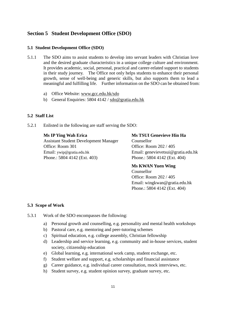#### <span id="page-10-0"></span>**Section 5 Student Development Office (SDO)**

#### **5.1 Student Development Office (SDO)**

- 5.1.1 The SDO aims to assist students to develop into servant leaders with Christian love and the desired graduate characteristics in a unique college culture and environment. It provides academic, social, personal, practical and career-related support to students in their study journey. The Office not only helps students to enhance their personal growth, sense of well-being and generic skills, but also supports them to lead a meaningful and fulfilling life. Further information on the SDO can be obtained from:
	- a) Office Website: www.gcc.edu.hk/sdo
	- b) General Enquiries: 5804 4142 / sdo@gratia.edu.hk

#### **5.2 Staff List**

5.2.1 Enlisted in the following are staff serving the SDO:

**Ms IP Ying Wah Erica**

Assistant Student Development Manager Office: Room 301 Email: ywip@gratia.edu.hk Phone.: 5804 4142 (Ext. 403)

## **Ms TSUI Genevieve Hin Ha** Counsellor Office: Room 202 / 405 Email: genevievetsui@gratia.edu.hk Phone.: 5804 4142 (Ext. 404)

#### **Ms KWAN Yuen Wing** Counsellor

Office: Room 202 / 405 Email: wingkwan@gratia.edu.hk Phone.: 5804 4142 (Ext. 404)

#### **5.3 Scope of Work**

- 5.3.1 Work of the SDO encompasses the following:
	- a) Personal growth and counselling, e.g. personality and mental health workshops
	- b) Pastoral care, e.g. mentoring and peer-tutoring schemes
	- c) Spiritual education, e.g. college assembly, Christian fellowship
	- d) Leadership and service learning, e.g. community and in-house services, student society, citizenship education
	- e) Global learning, e.g. international work camp, student exchange, etc.
	- f) Student welfare and support, e.g. scholarships and financial assistance
	- g) Career guidance, e.g. individual career consultation, mock interviews, etc.
	- h) Student survey, e.g. student opinion survey, graduate survey, etc.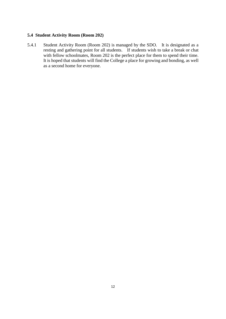#### **5.4 Student Activity Room (Room 202)**

5.4.1 Student Activity Room (Room 202) is managed by the SDO. It is designated as a resting and gathering point for all students. If students wish to take a break or chat with fellow schoolmates, Room 202 is the perfect place for them to spend their time. It is hoped that students will find the College a place for growing and bonding, as well as a second home for everyone.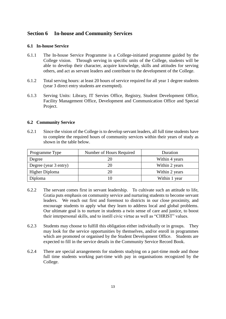### <span id="page-12-0"></span>**Section 6 In-house and Community Services**

#### **6.1 In-house Service**

- 6.1.1 The In-house Service Programme is a College-initiated programme guided by the College vision. Through serving in specific units of the College, students will be able to develop their character, acquire knowledge, skills and attitudes for serving others, and act as servant leaders and contribute to the development of the College.
- 6.1.2 Total serving hours: at least 20 hours of service required for all year 1 degree students (year 3 direct entry students are exempted).
- 6.1.3 Serving Units: Library, IT Servies Office, Registry, Student Development Office, Facility Management Office, Development and Communication Office and Special Project.

#### **6.2 Community Service**

6.2.1 Since the vision of the College is to develop servant leaders, all full time students have to complete the required hours of community services within their years of study as shown in the table below.

| Programme Type        | Number of Hours Required | Duration       |
|-----------------------|--------------------------|----------------|
| Degree                | 20                       | Within 4 years |
| Degree (year 3 entry) | 20                       | Within 2 years |
| <b>Higher Diploma</b> | 20                       | Within 2 years |
| Diploma               |                          | Within 1 year  |

- 6.2.2 The servant comes first in servant leadership. To cultivate such an attitude to life, Gratia puts emphasis on community service and nurturing students to become servant leaders. We reach out first and foremost to districts in our close proximity, and encourage students to apply what they learn to address local and global problems. Our ultimate goal is to nurture in students a twin sense of care and justice, to boost their interpersonal skills, and to instill civic virtue as well as "CHRIST" values.
- 6.2.3 Students may choose to fulfill this obligation either individually or in groups. They may look for the service opportunities by themselves, and/or enroll in programmes which are promoted or organised by the Student Development Office. Students are expected to fill in the service details in the Community Service Record Book.
- 6.2.4 There are special arrangements for students studying on a part-time mode and those full time students working part-time with pay in organisations recognized by the College.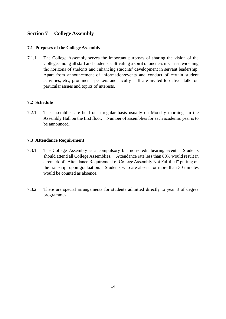## <span id="page-13-0"></span>**Section 7 College Assembly**

#### **7.1 Purposes of the College Assembly**

7.1.1 The College Assembly serves the important purposes of sharing the vision of the College among all staff and students, cultivating a spirit of oneness in Christ, widening the horizons of students and enhancing students' development in servant leadership. Apart from announcement of information/events and conduct of certain student activities, etc., prominent speakers and faculty staff are invited to deliver talks on particular issues and topics of interests.

#### **7.2 Schedule**

7.2.1 The assemblies are held on a regular basis usually on Monday mornings in the Assembly Hall on the first floor. Number of assemblies for each academic year is to be announced.

#### **7.3 Attendance Requirement**

- 7.3.1 The College Assembly is a compulsory but non-credit bearing event. Students should attend all College Assemblies. Attendance rate less than 80% would result in a remark of "Attendance Requirement of College Assembly Not Fulfilled" putting on the transcript upon graduation. Students who are absent for more than 30 minutes would be counted as absence.
- 7.3.2 There are special arrangements for students admitted directly to year 3 of degree programmes.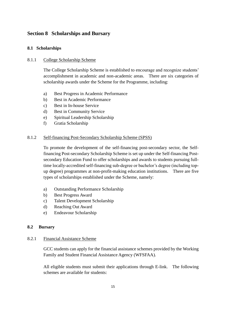## <span id="page-14-0"></span>**Section 8 Scholarships and Bursary**

### **8.1 Scholarships**

#### 8.1.1 College Scholarship Scheme

The College Scholarship Scheme is established to encourage and recognize students' accomplishment in academic and non-academic areas. There are six categories of scholarship awards under the Scheme for the Programme, including:

- a) Best Progress in Academic Performance
- b) Best in Academic Performance
- c) Best in In-house Service
- d) Best in Community Service
- e) Spiritual Leadership Scholarship
- f) Gratia Scholarship

#### 8.1.2 Self-financing Post-Secondary Scholarship Scheme (SPSS)

To promote the development of the self-financing post-secondary sector, the Selffinancing Post-secondary Scholarship Scheme is set up under the Self-financing Postsecondary Education Fund to offer scholarships and awards to students pursuing fulltime locally-accredited self-financing sub-degree or bachelor's degree (including topup degree) programmes at non-profit-making education institutions. There are five types of scholarships established under the Scheme, namely:

- a) Outstanding Performance Scholarship
- b) Best Progress Award
- c) Talent Development Scholarship
- d) Reaching Out Award
- e) Endeavour Scholarship

#### **8.2 Bursary**

#### 8.2.1 Financial Assistance Scheme

GCC students can apply for the financial assistance schemes provided by th[e Working](http://www.wfsfaa.gov.hk/)  [Family and Student Financial Assistance Agency \(WFSFAA\).](http://www.wfsfaa.gov.hk/)

All eligible students must submit their applications through [E-link.](http://www.wfsfaa.gov.hk/sfo/en/elink/elink.htm) The following schemes are available for students: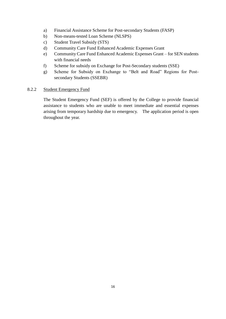- a) Financial Assistance Scheme for Post-secondary Students (FASP)
- b) Non-means-tested Loan Scheme (NLSPS)
- c) Student Travel Subsidy (STS)
- d) Community Care Fund Enhanced Academic Expenses Grant
- e) Community Care Fund Enhanced Academic Expenses Grant for SEN students with financial needs
- f) Scheme for subsidy on Exchange for Post-Secondary students (SSE)
- g) Scheme for Subsidy on Exchange to "Belt and Road" Regions for Postsecondary Students (SSEBR)

#### 8.2.2 Student Emergency Fund

The Student Emergency Fund (SEF) is offered by the College to provide financial assistance to students who are unable to meet immediate and essential expenses arising from temporary hardship due to emergency. The application period is open throughout the year.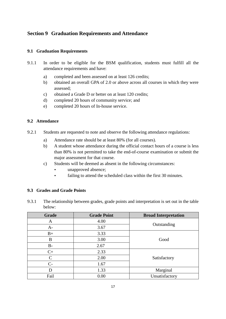## <span id="page-16-0"></span>**Section 9 Graduation Requirements and Attendance**

#### **9.1 Graduation Requirements**

- 9.1.1 In order to be eligible for the BSM qualification, students must fulfill all the attendance requirements and have:
	- a) completed and been assessed on at least 126 credits;
	- b) obtained an overall GPA of 2.0 or above across all courses in which they were assessed;
	- c) obtained a Grade D or better on at least 120 credits;
	- d) completed 20 hours of community service; and
	- e) completed 20 hours of In-house service.

#### **9.2 Attendance**

- 9.2.1 Students are requested to note and observe the following attendance regulations:
	- a) Attendance rate should be at least 80% (for all courses).
	- b) A student whose attendance during the official contact hours of a course is less than 80% is not permitted to take the end-of-course examination or submit the major assessment for that course.
	- c) Students will be deemed as absent in the following circumstances:
		- unapproved absence;
		- failing to attend the scheduled class within the first 30 minutes.

#### **9.3 Grades and Grade Points**

9.3.1 The relationship between grades, grade points and interpretation is set out in the table below:

| <b>Grade</b> | <b>Grade Point</b> | <b>Broad Interpretation</b> |  |
|--------------|--------------------|-----------------------------|--|
| A            | 4.00               | Outstanding                 |  |
| $A-$         | 3.67               |                             |  |
| $B+$         | 3.33               |                             |  |
| B            | 3.00               | Good                        |  |
| $B-$         | 2.67               |                             |  |
| $C+$         | 2.33               |                             |  |
| $\mathsf{C}$ | 2.00               | Satisfactory                |  |
| $C-$         | 1.67               |                             |  |
| D            | 1.33               | Marginal                    |  |
| Fail         | 0.00               | Unsatisfactory              |  |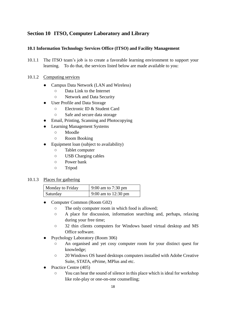## <span id="page-17-0"></span>**Section 10 ITSO, Computer Laboratory and Library**

#### **10.1 Information Technology Services Office (ITSO) and Facility Management**

10.1.1 The ITSO team's job is to create a favorable learning environment to support your learning. To do that, the services listed below are made available to you:

#### 10.1.2 Computing services

- Campus Data Network (LAN and Wireless)
	- Data Link to the Internet
	- Network and Data Security
- User Profile and Data Storage
	- Electronic ID & Student Card
	- Safe and secure data storage
- Email, Printing, Scanning and Photocopying
- **Learning Management Systems** 
	- Moodle
	- Room Booking
- Equipment loan (subject to availability)
	- Tablet computer
	- USB Charging cables
	- Power bank
	- Tripod

#### 10.1.3 Places for gathering

| Monday to Friday | 9:00 am to 7:30 pm  |
|------------------|---------------------|
| <i>Saturday</i>  | 9:00 am to 12:30 pm |

- Computer Common (Room G02)
	- The only computer room in which food is allowed;
	- A place for discussion, information searching and, perhaps, relaxing during your free time;
	- 32 thin clients computers for Windows based virtual desktop and MS Office software.
- Psychology Laboratory (Room 306)
	- An organised and yet cosy computer room for your distinct quest for knowledge;
	- 20 Windows OS based desktops computers installed with Adobe Creative Suite, STATA, ePrime, MPlus and etc.
- Practice Centre (405)
	- You can hear the sound of silence in this place which is ideal for workshop like role-play or one-on-one counselling;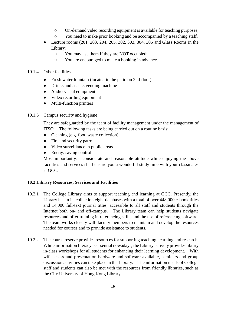- On-demand video recording equipment is available for teaching purposes;
- You need to make prior booking and be accompanied by a teaching staff.
- Lecture rooms (201, 203, 204, 205, 302, 303, 304, 305 and Glass Rooms in the Library)
	- You may use them if they are NOT occupied;
	- You are encouraged to make a booking in advance.

#### 10.1.4 Other facilities

- Fresh water fountain (located in the patio on 2nd floor)
- Drinks and snacks vending machine
- Audio-visual equipment
- Video recording equipment
- Multi-function printers

#### 10.1.5 Campus security and hygiene

They are safeguarded by the team of facility management under the management of ITSO. The following tasks are being carried out on a routine basis:

- Cleaning (e.g. food waste collection)
- Fire and security patrol
- Video surveillance in public areas
- Energy saving control

Most importantly, a considerate and reasonable attitude while enjoying the above facilities and services shall ensure you a wonderful study time with your classmates at GCC.

#### **10.2 Library Resources, Services and Facilities**

- 10.2.1 The College Library aims to support teaching and learning at GCC. Presently, the Library has in its collection eight databases with a total of over 448,000 e-book titles and 14,000 full-text journal titles, accessible to all staff and students through the Internet both on- and off-campus. The Library team can help students navigate resources and offer training in referencing skills and the use of referencing software. The team works closely with faculty members to maintain and develop the resources needed for courses and to provide assistance to students.
- 10.2.2 The course reserve provides resources for supporting teaching, learning and research. While information literacy is essential nowadays, the Library actively provides library in-class workshops for all students for enhancing their learning development. With wifi access and presentation hardware and software available, seminars and group discussion activities can take place in the Library. The information needs of College staff and students can also be met with the resources from friendly libraries, such as the City University of Hong Kong Library.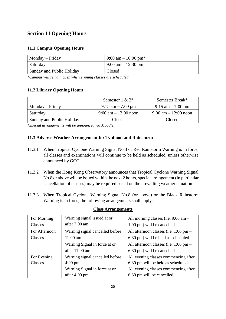## <span id="page-19-0"></span>**Section 11 Opening Hours**

#### **11.1 Campus Opening Hours**

| Monday – Friday           | 9:00 am $-10:00$ pm <sup>*</sup>     |
|---------------------------|--------------------------------------|
| Saturday                  | $9:00 \text{ am} - 12:30 \text{ pm}$ |
| Sunday and Public Holiday | Closed                               |

*\*Campus will remain open when evening classes are scheduled.*

#### **11.2 Library Opening Hours**

|                           | Semester $1 \& 2^*$                    | Semester Break*                        |
|---------------------------|----------------------------------------|----------------------------------------|
| Monday – Friday           | $9:15$ am $-7:00$ pm                   | $9:15 \text{ am} - 7:00 \text{ pm}$    |
| Saturday                  | $9:00 \text{ am} - 12:00 \text{ noon}$ | $9:00 \text{ am} - 12:00 \text{ noon}$ |
| Sunday and Public Holiday | Closed                                 | Closed                                 |

*\*Special arrangements will be announced via Moodle.* 

#### **11.3 Adverse Weather Arrangement for Typhoon and Rainstorm**

- 11.3.1 When Tropical Cyclone Warning Signal No.3 or Red Rainstorm Warning is in force, all classes and examinations will continue to be held as scheduled, unless otherwise announced by GCC.
- 11.3.2 When the Hong Kong Observatory announces that Tropical Cyclone Warning Signal No.8 or above will be issued within the next 2 hours, special arrangement (in particular cancellation of classes) may be required based on the prevailing weather situation.
- 11.3.3 When Tropical Cyclone Warning Signal No.8 (or above) or the Black Rainstorm Warning is in force, the following arrangements shall apply:

| For Morning    | Warning signal issued at or     | All morning classes (i.e. 9:00 am –   |
|----------------|---------------------------------|---------------------------------------|
| <b>Classes</b> | after 7:00 am                   | 1:00 pm) will be cancelled            |
| For Afternoon  | Warning signal cancelled before | All afternoon classes (i.e. 1:00 pm – |
| Classes        | $11:00 \text{ am}$              | 6:30 pm) will be held as scheduled    |
|                | Warning Signal in force at or   | All afternoon classes (i.e. 1:00 pm – |
|                | after 11:00 am                  | 6:30 pm) will be cancelled            |
| For Evening    | Warning signal cancelled before | All evening classes commencing after  |
| Classes        | $4:00 \text{ pm}$               | 6:30 pm will be held as scheduled     |
|                | Warning Signal in force at or   | All evening classes commencing after  |
|                | after $4:00 \text{ pm}$         | 6:30 pm will be cancelled             |

#### **Class Arrangements**